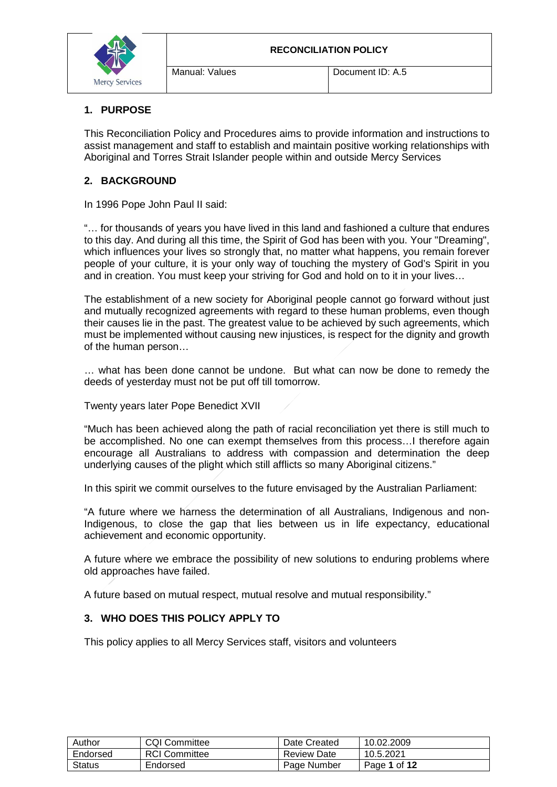

#### **1. PURPOSE**

This Reconciliation Policy and Procedures aims to provide information and instructions to assist management and staff to establish and maintain positive working relationships with Aboriginal and Torres Strait Islander people within and outside Mercy Services

#### **2. BACKGROUND**

In 1996 Pope John Paul II said:

"… for thousands of years you have lived in this land and fashioned a culture that endures to this day. And during all this time, the Spirit of God has been with you. Your "Dreaming", which influences your lives so strongly that, no matter what happens, you remain forever people of your culture, it is your only way of touching the mystery of God's Spirit in you and in creation. You must keep your striving for God and hold on to it in your lives…

The establishment of a new society for Aboriginal people cannot go forward without just and mutually recognized agreements with regard to these human problems, even though their causes lie in the past. The greatest value to be achieved by such agreements, which must be implemented without causing new injustices, is respect for the dignity and growth of the human person…

… what has been done cannot be undone. But what can now be done to remedy the deeds of yesterday must not be put off till tomorrow.

Twenty years later Pope Benedict XVII

"Much has been achieved along the path of racial reconciliation yet there is still much to be accomplished. No one can exempt themselves from this process…I therefore again encourage all Australians to address with compassion and determination the deep underlying causes of the plight which still afflicts so many Aboriginal citizens."

In this spirit we commit ourselves to the future envisaged by the Australian Parliament:

"A future where we harness the determination of all Australians, Indigenous and non-Indigenous, to close the gap that lies between us in life expectancy, educational achievement and economic opportunity.

A future where we embrace the possibility of new solutions to enduring problems where old approaches have failed.

A future based on mutual respect, mutual resolve and mutual responsibility."

#### **3. WHO DOES THIS POLICY APPLY TO**

This policy applies to all Mercy Services staff, visitors and volunteers

| Author        | <b>CQI Committee</b> | Date Created       | 10.02.2009   |
|---------------|----------------------|--------------------|--------------|
| Endorsed      | <b>RCI</b> Committee | <b>Review Date</b> | 10.5.2021    |
| <b>Status</b> | Endorsed             | Page Number        | Page 1 of 12 |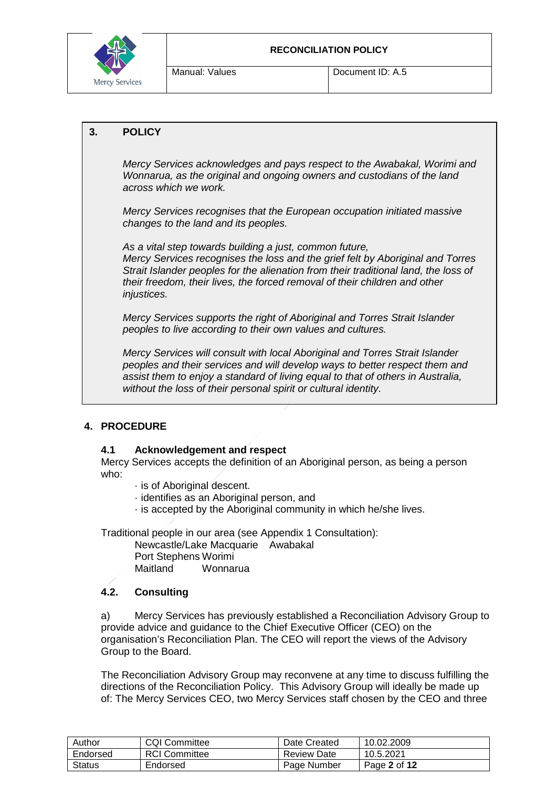

#### **3. POLICY**

*Mercy Services acknowledges and pays respect to the Awabakal, Worimi and Wonnarua, as the original and ongoing owners and custodians of the land across which we work.*

*Mercy Services recognises that the European occupation initiated massive changes to the land and its peoples.*

*As a vital step towards building a just, common future, Mercy Services recognises the loss and the grief felt by Aboriginal and Torres Strait Islander peoples for the alienation from their traditional land, the loss of their freedom, their lives, the forced removal of their children and other injustices.*

*Mercy Services supports the right of Aboriginal and Torres Strait Islander peoples to live according to their own values and cultures.*

*Mercy Services will consult with local Aboriginal and Torres Strait Islander peoples and their services and will develop ways to better respect them and assist them to enjoy a standard of living equal to that of others in Australia, without the loss of their personal spirit or cultural identity.*

#### **4. PROCEDURE**

#### **4.1 Acknowledgement and respect**

Mercy Services accepts the definition of an Aboriginal person, as being a person who:

- · is of Aboriginal descent.
- · identifies as an Aboriginal person, and
- · is accepted by the Aboriginal community in which he/she lives.

Traditional people in our area (see Appendix 1 Consultation):

Newcastle/Lake Macquarie Awabakal Port Stephens Worimi Wonnarua

## **4.2. Consulting**

a) Mercy Services has previously established a Reconciliation Advisory Group to provide advice and guidance to the Chief Executive Officer (CEO) on the organisation's Reconciliation Plan. The CEO will report the views of the Advisory Group to the Board.

The Reconciliation Advisory Group may reconvene at any time to discuss fulfilling the directions of the Reconciliation Policy. This Advisory Group will ideally be made up of: The Mercy Services CEO, two Mercy Services staff chosen by the CEO and three

| Author   | <b>CQI Committee</b> | Date Created | 10.02.2009   |
|----------|----------------------|--------------|--------------|
| Endorsed | <b>RCI</b> Committee | Review Date  | 10.5.2021    |
| Status   | Endorsed             | Page Number  | Page 2 of 12 |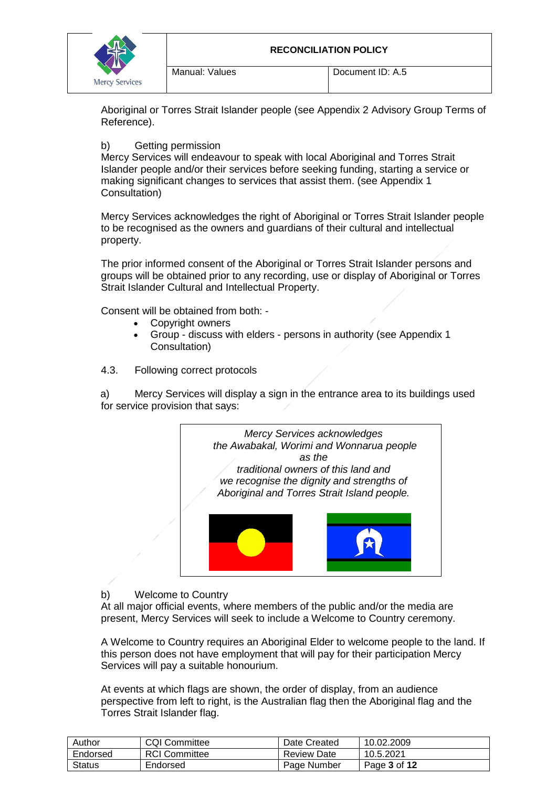

Aboriginal or Torres Strait Islander people (see Appendix 2 Advisory Group Terms of Reference).

#### b) Getting permission

Mercy Services will endeavour to speak with local Aboriginal and Torres Strait Islander people and/or their services before seeking funding, starting a service or making significant changes to services that assist them. (see Appendix 1 Consultation)

Mercy Services acknowledges the right of Aboriginal or Torres Strait Islander people to be recognised as the owners and guardians of their cultural and intellectual property.

The prior informed consent of the Aboriginal or Torres Strait Islander persons and groups will be obtained prior to any recording, use or display of Aboriginal or Torres Strait Islander Cultural and Intellectual Property.

Consent will be obtained from both: -

- Copyright owners
- Group discuss with elders persons in authority (see Appendix 1 Consultation)
- 4.3. Following correct protocols

a) Mercy Services will display a sign in the entrance area to its buildings used for service provision that says:



#### b) Welcome to Country

At all major official events, where members of the public and/or the media are present, Mercy Services will seek to include a Welcome to Country ceremony.

A Welcome to Country requires an Aboriginal Elder to welcome people to the land. If this person does not have employment that will pay for their participation Mercy Services will pay a suitable honourium.

At events at which flags are shown, the order of display, from an audience perspective from left to right, is the Australian flag then the Aboriginal flag and the Torres Strait Islander flag.

| Author        | <b>CQI Committee</b> | Date Created | 10.02.2009   |
|---------------|----------------------|--------------|--------------|
| Endorsed      | <b>RCI Committee</b> | Review Date  | 10.5.2021    |
| <b>Status</b> | Endorsed             | Page Number  | Page 3 of 12 |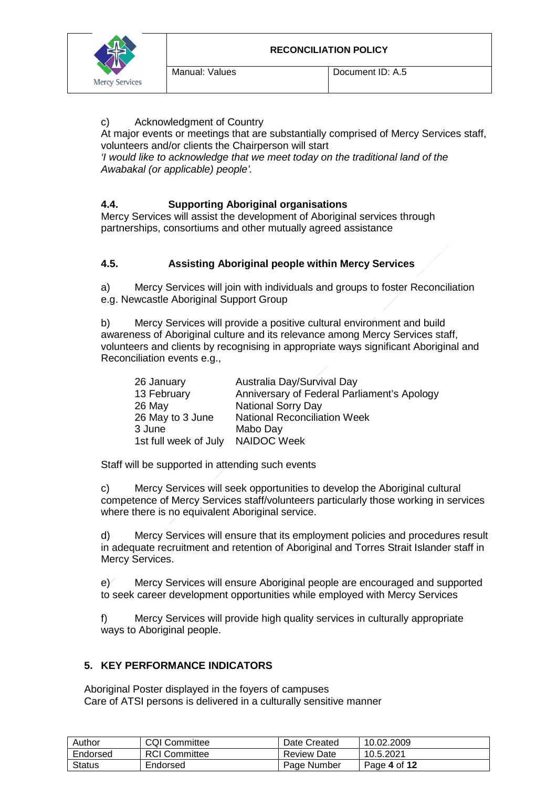

#### c) Acknowledgment of Country

At major events or meetings that are substantially comprised of Mercy Services staff, volunteers and/or clients the Chairperson will start

*'I would like to acknowledge that we meet today on the traditional land of the Awabakal (or applicable) people'.*

#### **4.4. Supporting Aboriginal organisations**

Mercy Services will assist the development of Aboriginal services through partnerships, consortiums and other mutually agreed assistance

#### **4.5. Assisting Aboriginal people within Mercy Services**

a) Mercy Services will join with individuals and groups to foster Reconciliation e.g. Newcastle Aboriginal Support Group

b) Mercy Services will provide a positive cultural environment and build awareness of Aboriginal culture and its relevance among Mercy Services staff, volunteers and clients by recognising in appropriate ways significant Aboriginal and Reconciliation events e.g.,

| 26 January            | Australia Day/Survival Day                  |
|-----------------------|---------------------------------------------|
| 13 February           | Anniversary of Federal Parliament's Apology |
| 26 May                | <b>National Sorry Day</b>                   |
| 26 May to 3 June      | <b>National Reconciliation Week</b>         |
| 3 June                | Mabo Day                                    |
| 1st full week of July | <b>NAIDOC Week</b>                          |

Staff will be supported in attending such events

c) Mercy Services will seek opportunities to develop the Aboriginal cultural competence of Mercy Services staff/volunteers particularly those working in services where there is no equivalent Aboriginal service.

d) Mercy Services will ensure that its employment policies and procedures result in adequate recruitment and retention of Aboriginal and Torres Strait Islander staff in Mercy Services.

e) Mercy Services will ensure Aboriginal people are encouraged and supported to seek career development opportunities while employed with Mercy Services

f) Mercy Services will provide high quality services in culturally appropriate ways to Aboriginal people.

#### **5. KEY PERFORMANCE INDICATORS**

Aboriginal Poster displayed in the foyers of campuses Care of ATSI persons is delivered in a culturally sensitive manner

| Author        | <b>CQI Committee</b> | Date Created       | 10.02.2009   |
|---------------|----------------------|--------------------|--------------|
| Endorsed      | <b>RCI Committee</b> | <b>Review Date</b> | 10.5.2021    |
| <b>Status</b> | Endorsed             | Page Number        | Page 4 of 12 |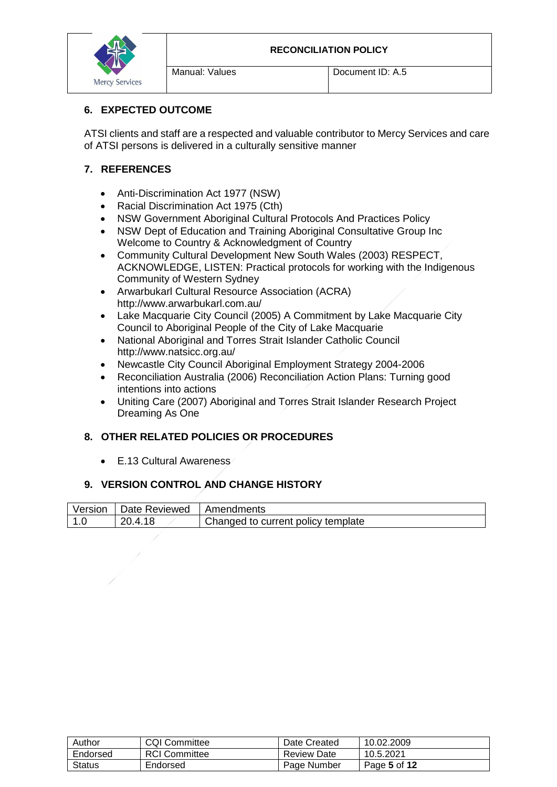

# **6. EXPECTED OUTCOME**

ATSI clients and staff are a respected and valuable contributor to Mercy Services and care of ATSI persons is delivered in a culturally sensitive manner

# **7. REFERENCES**

- Anti-Discrimination Act 1977 (NSW)
- Racial Discrimination Act 1975 (Cth)
- NSW Government Aboriginal Cultural Protocols And Practices Policy
- NSW Dept of Education and Training Aboriginal Consultative Group Inc Welcome to Country & Acknowledgment of Country
- Community Cultural Development New South Wales (2003) RESPECT, ACKNOWLEDGE, LISTEN: Practical protocols for working with the Indigenous Community of Western Sydney
- Arwarbukarl Cultural Resource Association (ACRA) http://www.arwarbukarl.com.au/
- Lake Macquarie City Council (2005) A Commitment by Lake Macquarie City Council to Aboriginal People of the City of Lake Macquarie
- National Aboriginal and Torres Strait Islander Catholic Council http://www.natsicc.org.au/
- Newcastle City Council Aboriginal Employment Strategy 2004-2006
- Reconciliation Australia (2006) Reconciliation Action Plans: Turning good intentions into actions
- Uniting Care (2007) Aboriginal and Torres Strait Islander Research Project Dreaming As One

# **8. OTHER RELATED POLICIES OR PROCEDURES**

• E.13 Cultural Awareness

## **9. VERSION CONTROL AND CHANGE HISTORY**

| Version        | Date Reviewed | I Amendments                       |
|----------------|---------------|------------------------------------|
| $\overline{A}$ | 20.4.18       | Changed to current policy template |

| Author   | <b>CQI Committee</b> | Date Created | 10.02.2009   |
|----------|----------------------|--------------|--------------|
| Endorsed | <b>RCI</b> Committee | Review Date  | 10.5.2021    |
| Status   | Endorsed             | Page Number  | Page 5 of 12 |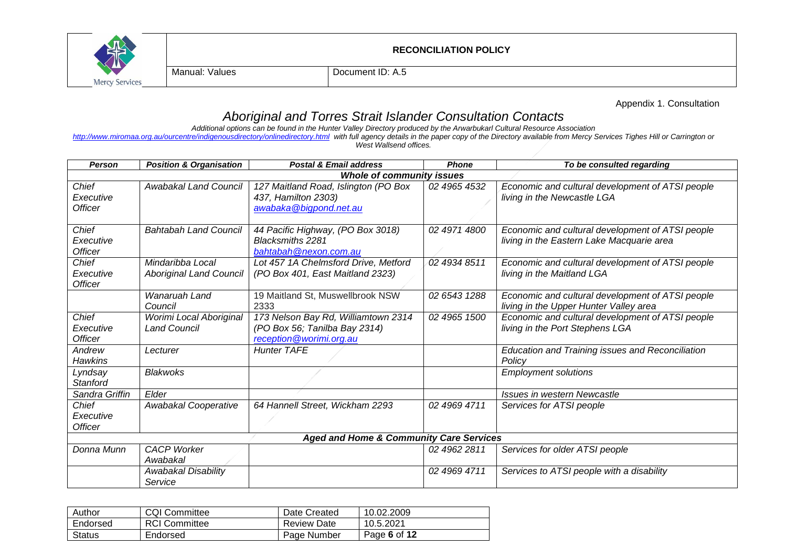

Manual: Values Document ID: A.5

Appendix 1. Consultation

# *Aboriginal and Torres Strait Islander Consultation Contacts*

*Additional options can be found in the Hunter Valley Directory produced by the Arwarbukarl Cultural Resource Association* 

*<http://www.miromaa.org.au/ourcentre/indigenousdirectory/onlinedirectory.html> with full agency details in the paper copy of the Directory available from Mercy Services Tighes Hill or Carrington or West Wallsend offices.*

| Person                               | <b>Position &amp; Organisation</b>                 | <b>Postal &amp; Email address</b>                                                               | <b>Phone</b> | To be consulted regarding                                                                     |  |
|--------------------------------------|----------------------------------------------------|-------------------------------------------------------------------------------------------------|--------------|-----------------------------------------------------------------------------------------------|--|
|                                      | <b>Whole of community issues</b>                   |                                                                                                 |              |                                                                                               |  |
| Chief<br>Executive<br><b>Officer</b> | Awabakal Land Council                              | 127 Maitland Road, Islington (PO Box<br>437, Hamilton 2303)<br>awabaka@bigpond.net.au           | 02 4965 4532 | Economic and cultural development of ATSI people<br>living in the Newcastle LGA               |  |
| Chief<br>Executive<br><b>Officer</b> | <b>Bahtabah Land Council</b>                       | 44 Pacific Highway, (PO Box 3018)<br><b>Blacksmiths 2281</b><br>bahtabah@nexon.com.au           | 02 4971 4800 | Economic and cultural development of ATSI people<br>living in the Eastern Lake Macquarie area |  |
| Chief<br>Executive<br><b>Officer</b> | Mindaribba Local<br><b>Aboriginal Land Council</b> | Lot 457 1A Chelmsford Drive, Metford<br>(PO Box 401, East Maitland 2323)                        | 02 4934 8511 | Economic and cultural development of ATSI people<br>living in the Maitland LGA                |  |
|                                      | Wanaruah Land<br>Council                           | 19 Maitland St, Muswellbrook NSW<br>2333                                                        | 02 6543 1288 | Economic and cultural development of ATSI people<br>living in the Upper Hunter Valley area    |  |
| Chief<br>Executive<br><b>Officer</b> | Worimi Local Aboriginal<br><b>Land Council</b>     | 173 Nelson Bay Rd, Williamtown 2314<br>(PO Box 56; Tanilba Bay 2314)<br>reception@worimi.org.au | 02 4965 1500 | Economic and cultural development of ATSI people<br>living in the Port Stephens LGA           |  |
| Andrew<br><b>Hawkins</b>             | Lecturer                                           | <b>Hunter TAFE</b>                                                                              |              | Education and Training issues and Reconciliation<br>Policy                                    |  |
| Lyndsay<br>Stanford                  | <b>Blakwoks</b>                                    |                                                                                                 |              | <b>Employment solutions</b>                                                                   |  |
| Sandra Griffin                       | Elder                                              |                                                                                                 |              | Issues in western Newcastle                                                                   |  |
| Chief<br>Executive<br><b>Officer</b> | Awabakal Cooperative                               | 64 Hannell Street, Wickham 2293                                                                 | 02 4969 4711 | Services for ATSI people                                                                      |  |
|                                      |                                                    | <b>Aged and Home &amp; Community Care Services</b>                                              |              |                                                                                               |  |
| Donna Munn                           | <b>CACP Worker</b><br>Awabakal                     |                                                                                                 | 02 4962 2811 | Services for older ATSI people                                                                |  |
|                                      | Awabakal Disability<br>Service                     |                                                                                                 | 02 4969 4711 | Services to ATSI people with a disability                                                     |  |

| Author   | <b>CQI Committee</b> | Date Created       | 10.02.2009   |
|----------|----------------------|--------------------|--------------|
| Endorsed | <b>RCI Committee</b> | <b>Review Date</b> | 10.5.2021    |
| Status   | Endorsed             | Page Number        | Page 6 of 12 |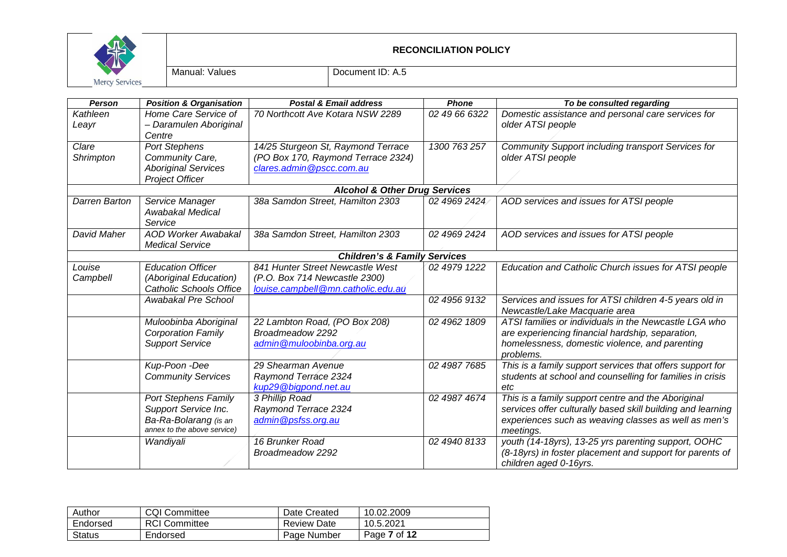

| Person             | <b>Position &amp; Organisation</b>                                                                          | <b>Postal &amp; Email address</b>                                                                       | <b>Phone</b>  | To be consulted regarding                                                                                                                                                              |
|--------------------|-------------------------------------------------------------------------------------------------------------|---------------------------------------------------------------------------------------------------------|---------------|----------------------------------------------------------------------------------------------------------------------------------------------------------------------------------------|
| Kathleen<br>Leayr  | Home Care Service of<br>- Daramulen Aboriginal<br>Centre                                                    | 70 Northcott Ave Kotara NSW 2289                                                                        | 02 49 66 6322 | Domestic assistance and personal care services for<br>older ATSI people                                                                                                                |
| Clare<br>Shrimpton | <b>Port Stephens</b><br>Community Care,<br><b>Aboriginal Services</b><br><b>Project Officer</b>             | 14/25 Sturgeon St, Raymond Terrace<br>(PO Box 170, Raymond Terrace 2324)<br>clares.admin@pscc.com.au    | 1300 763 257  | Community Support including transport Services for<br>older ATSI people                                                                                                                |
|                    |                                                                                                             | <b>Alcohol &amp; Other Drug Services</b>                                                                |               |                                                                                                                                                                                        |
| Darren Barton      | Service Manager<br>Awabakal Medical<br>Service                                                              | 38a Samdon Street, Hamilton 2303                                                                        | 02 4969 2424  | AOD services and issues for ATSI people                                                                                                                                                |
| David Maher        | <b>AOD Worker Awabakal</b><br><b>Medical Service</b>                                                        | 38a Samdon Street, Hamilton 2303                                                                        | 02 4969 2424  | AOD services and issues for ATSI people                                                                                                                                                |
|                    |                                                                                                             | <b>Children's &amp; Family Services</b>                                                                 |               |                                                                                                                                                                                        |
| Louise<br>Campbell | <b>Education Officer</b><br>(Aboriginal Education)<br><b>Catholic Schools Office</b>                        | 841 Hunter Street Newcastle West<br>(P.O. Box 714 Newcastle 2300)<br>louise.campbell@mn.catholic.edu.au | 02 4979 1222  | Education and Catholic Church issues for ATSI people                                                                                                                                   |
|                    | Awabakal Pre School                                                                                         |                                                                                                         | 02 4956 9132  | Services and issues for ATSI children 4-5 years old in<br>Newcastle/Lake Macquarie area                                                                                                |
|                    | Muloobinba Aboriginal<br><b>Corporation Family</b><br><b>Support Service</b>                                | 22 Lambton Road, (PO Box 208)<br>Broadmeadow 2292<br>admin@muloobinba.org.au                            | 02 4962 1809  | ATSI families or individuals in the Newcastle LGA who<br>are experiencing financial hardship, separation,<br>homelessness, domestic violence, and parenting<br>problems.               |
|                    | Kup-Poon -Dee<br><b>Community Services</b>                                                                  | 29 Shearman Avenue<br>Raymond Terrace 2324<br>kup29@bigpond.net.au                                      | 02 4987 7685  | This is a family support services that offers support for<br>students at school and counselling for families in crisis<br>etc                                                          |
|                    | <b>Port Stephens Family</b><br>Support Service Inc.<br>Ba-Ra-Bolarang (is an<br>annex to the above service) | 3 Phillip Road<br>Raymond Terrace 2324<br>admin@psfss.org.au                                            | 02 4987 4674  | This is a family support centre and the Aboriginal<br>services offer culturally based skill building and learning<br>experiences such as weaving classes as well as men's<br>meetings. |
|                    | Wandiyali                                                                                                   | 16 Brunker Road<br>Broadmeadow 2292                                                                     | 02 4940 8133  | youth (14-18yrs), 13-25 yrs parenting support, OOHC<br>(8-18yrs) in foster placement and support for parents of<br>children aged 0-16yrs.                                              |

| Author        | <b>CQI Committee</b> | Date Created       | 10.02.2009   |
|---------------|----------------------|--------------------|--------------|
| Endorsed      | <b>RCI Committee</b> | <b>Review Date</b> | 10.5.2021    |
| <b>Status</b> | Endorsed             | Page Number        | Page 7 of 12 |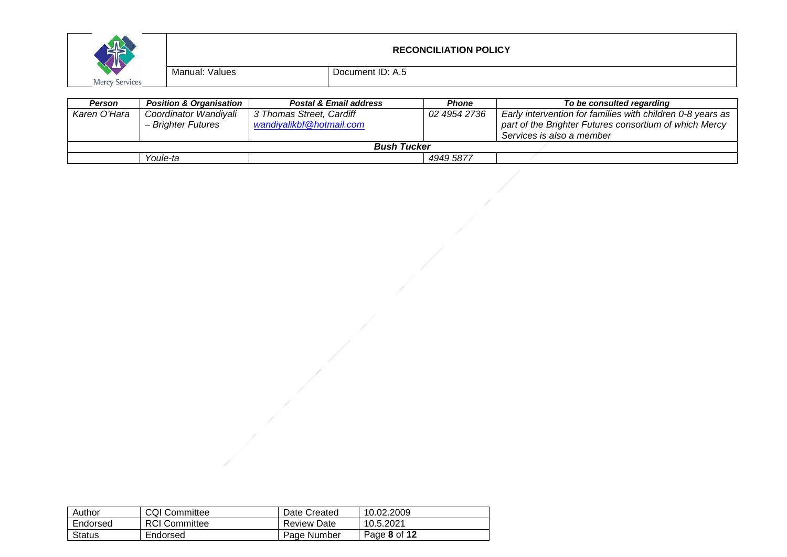

| Person             | <b>Position &amp; Organisation</b> | <b>Postal &amp; Email address</b> | Phone        | To be consulted regarding                                  |
|--------------------|------------------------------------|-----------------------------------|--------------|------------------------------------------------------------|
| Karen O'Hara       | Coordinator Wandiyali              | 3 Thomas Street, Cardiff          | 02 4954 2736 | Early intervention for families with children 0-8 years as |
|                    | – Brighter Futures                 | wandiyalikbf@hotmail.com          |              | part of the Brighter Futures consortium of which Mercy     |
|                    |                                    |                                   |              | Services is also a member                                  |
| <b>Bush Tucker</b> |                                    |                                   |              |                                                            |
|                    | Youle-ta                           |                                   | 4949 5877    |                                                            |

| Author   | <b>CQI Committee</b> | Date Created       | 10.02.2009   |
|----------|----------------------|--------------------|--------------|
| Endorsed | <b>RCI Committee</b> | <b>Review Date</b> | 10.5.2021    |
| Status   | Endorsed             | Page Number        | Page 8 of 12 |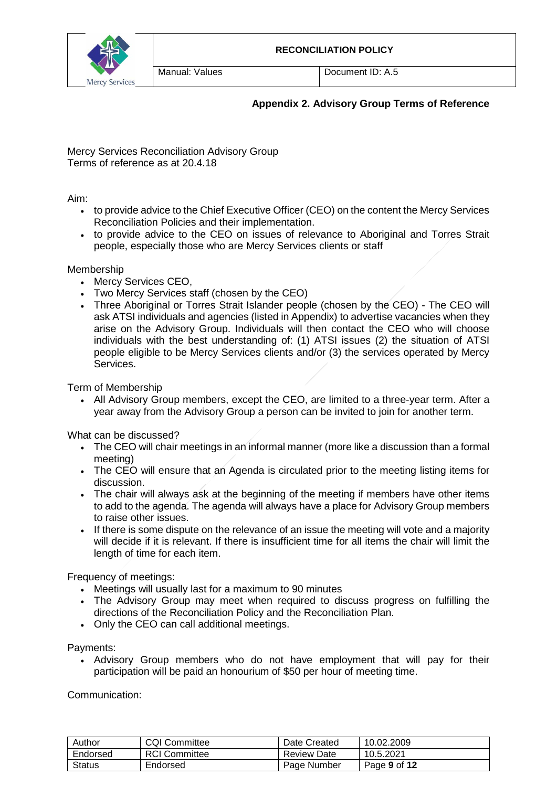

Manual: Values **Document ID: A.5** 

# **Appendix 2. Advisory Group Terms of Reference**

Mercy Services Reconciliation Advisory Group Terms of reference as at 20.4.18

Aim:

- to provide advice to the Chief Executive Officer (CEO) on the content the Mercy Services Reconciliation Policies and their implementation.
- to provide advice to the CEO on issues of relevance to Aboriginal and Torres Strait people, especially those who are Mercy Services clients or staff

Membership

- Mercy Services CEO,
- Two Mercy Services staff (chosen by the CEO)
- Three Aboriginal or Torres Strait Islander people (chosen by the CEO) The CEO will ask ATSI individuals and agencies (listed in Appendix) to advertise vacancies when they arise on the Advisory Group. Individuals will then contact the CEO who will choose individuals with the best understanding of: (1) ATSI issues (2) the situation of ATSI people eligible to be Mercy Services clients and/or (3) the services operated by Mercy Services.

Term of Membership

• All Advisory Group members, except the CEO, are limited to a three-year term. After a year away from the Advisory Group a person can be invited to join for another term.

What can be discussed?

- The CEO will chair meetings in an informal manner (more like a discussion than a formal meeting)
- The CEO will ensure that an Agenda is circulated prior to the meeting listing items for discussion.
- The chair will always ask at the beginning of the meeting if members have other items to add to the agenda. The agenda will always have a place for Advisory Group members to raise other issues.
- If there is some dispute on the relevance of an issue the meeting will vote and a majority will decide if it is relevant. If there is insufficient time for all items the chair will limit the length of time for each item.

Frequency of meetings:

- Meetings will usually last for a maximum to 90 minutes
- The Advisory Group may meet when required to discuss progress on fulfilling the directions of the Reconciliation Policy and the Reconciliation Plan.
- Only the CEO can call additional meetings.

Payments:

• Advisory Group members who do not have employment that will pay for their participation will be paid an honourium of \$50 per hour of meeting time.

Communication:

| Author        | <b>CQI Committee</b> | Date Created | 10.02.2009   |
|---------------|----------------------|--------------|--------------|
| Endorsed      | <b>RCI Committee</b> | Review Date  | 10.5.2021    |
| <b>Status</b> | Endorsed             | Page Number  | Page 9 of 12 |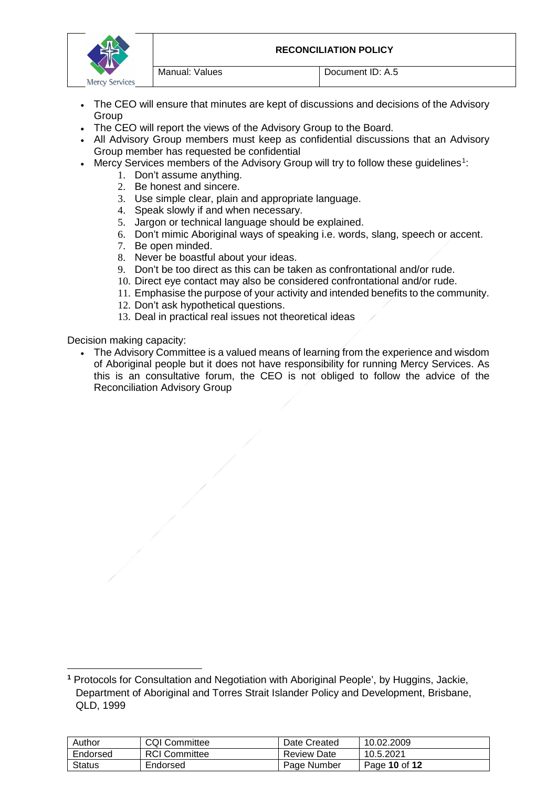

- The CEO will ensure that minutes are kept of discussions and decisions of the Advisory Group
- The CEO will report the views of the Advisory Group to the Board.
- All Advisory Group members must keep as confidential discussions that an Advisory Group member has requested be confidential
- Mercy Services members of the Advisory Group will try to follow these guidelines<sup>[1](#page-9-0)</sup>:
	- 1. Don't assume anything.
	- 2. Be honest and sincere.
	- 3. Use simple clear, plain and appropriate language.
	- 4. Speak slowly if and when necessary.
	- 5. Jargon or technical language should be explained.
	- 6. Don't mimic Aboriginal ways of speaking i.e. words, slang, speech or accent.
	- 7. Be open minded.
	- 8. Never be boastful about your ideas.
	- 9. Don't be too direct as this can be taken as confrontational and/or rude.
	- 10. Direct eye contact may also be considered confrontational and/or rude.
	- 11. Emphasise the purpose of your activity and intended benefits to the community.
	- 12. Don't ask hypothetical questions.
	- 13. Deal in practical real issues not theoretical ideas

Decision making capacity:

 $\overline{a}$ 

• The Advisory Committee is a valued means of learning from the experience and wisdom of Aboriginal people but it does not have responsibility for running Mercy Services. As this is an consultative forum, the CEO is not obliged to follow the advice of the Reconciliation Advisory Group

<span id="page-9-0"></span>**<sup>1</sup>** Protocols for Consultation and Negotiation with Aboriginal People', by Huggins, Jackie, Department of Aboriginal and Torres Strait Islander Policy and Development, Brisbane, QLD, 1999

| Author   | <b>CQI Committee</b> | Date Created       | 10.02.2009    |
|----------|----------------------|--------------------|---------------|
| Endorsed | <b>RCI</b> Committee | <b>Review Date</b> | 10.5.2021     |
| Status   | Endorsed             | Page Number        | Page 10 of 12 |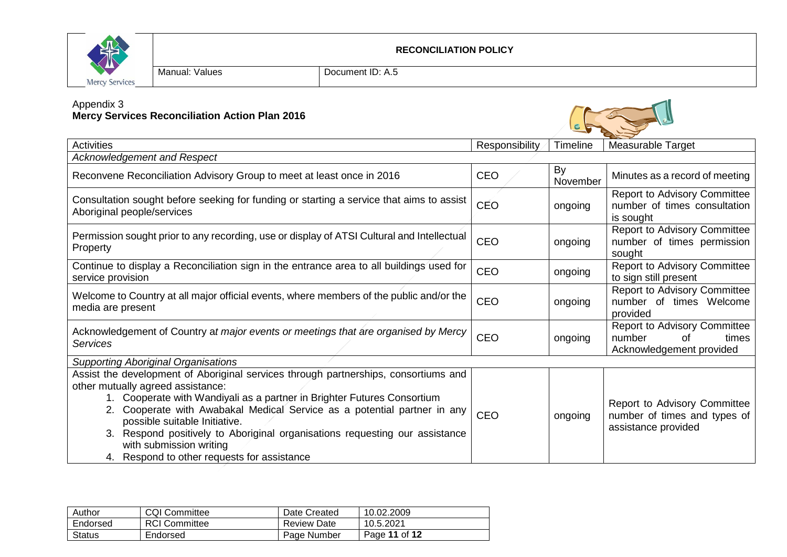

#### Appendix 3

#### **Mercy Services Reconciliation Action Plan 2016**



| Author   | <b>CQI Committee</b> | Date Created       | 10.02.2009    |
|----------|----------------------|--------------------|---------------|
| Endorsed | <b>RCI Committee</b> | <b>Review Date</b> | 10.5.2021     |
| Status   | Endorsed             | Page Number        | Page 11 of 12 |